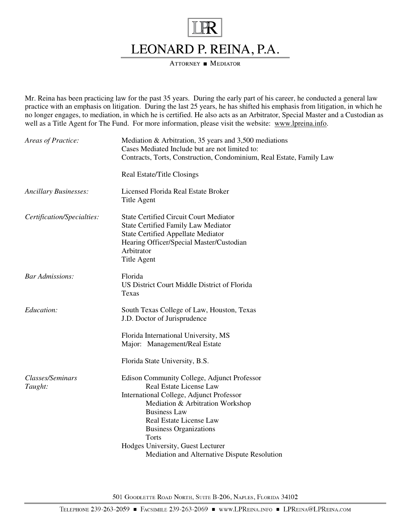

ATTORNEY MEDIATOR

Mr. Reina has been practicing law for the past 35 years. During the early part of his career, he conducted a general law practice with an emphasis on litigation. During the last 25 years, he has shifted his emphasis from litigation, in which he no longer engages, to mediation, in which he is certified. He also acts as an Arbitrator, Special Master and a Custodian as well as a Title Agent for The Fund. For more information, please visit the website: www.lpreina.info.

| Areas of Practice:           | Mediation $\&$ Arbitration, 35 years and 3,500 mediations<br>Cases Mediated Include but are not limited to:<br>Contracts, Torts, Construction, Condominium, Real Estate, Family Law                                                                |
|------------------------------|----------------------------------------------------------------------------------------------------------------------------------------------------------------------------------------------------------------------------------------------------|
|                              | Real Estate/Title Closings                                                                                                                                                                                                                         |
| <b>Ancillary Businesses:</b> | Licensed Florida Real Estate Broker<br><b>Title Agent</b>                                                                                                                                                                                          |
| Certification/Specialties:   | <b>State Certified Circuit Court Mediator</b><br><b>State Certified Family Law Mediator</b><br><b>State Certified Appellate Mediator</b><br>Hearing Officer/Special Master/Custodian<br>Arbitrator<br><b>Title Agent</b>                           |
| <b>Bar Admissions:</b>       | Florida<br>US District Court Middle District of Florida<br>Texas                                                                                                                                                                                   |
| Education:                   | South Texas College of Law, Houston, Texas<br>J.D. Doctor of Jurisprudence                                                                                                                                                                         |
|                              | Florida International University, MS<br>Major: Management/Real Estate                                                                                                                                                                              |
|                              | Florida State University, B.S.                                                                                                                                                                                                                     |
| Classes/Seminars<br>Taught:  | Edison Community College, Adjunct Professor<br>Real Estate License Law<br>International College, Adjunct Professor<br>Mediation & Arbitration Workshop<br><b>Business Law</b><br>Real Estate License Law<br><b>Business Organizations</b><br>Torts |
|                              | Hodges University, Guest Lecturer<br>Mediation and Alternative Dispute Resolution                                                                                                                                                                  |

501 GOODLETTE ROAD NORTH, SUITE B-206, NAPLES, FLORIDA 34102